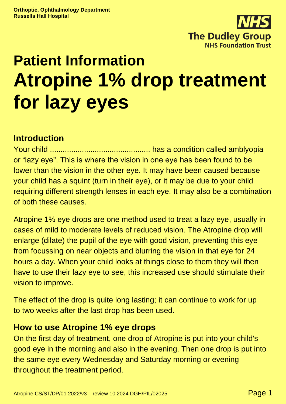

# **Patient Information Atropine 1% drop treatment for lazy eyes**

# **Introduction**

Your child ............................................... has a condition called amblyopia or "lazy eye". This is where the vision in one eye has been found to be lower than the vision in the other eye. It may have been caused because your child has a squint (turn in their eye), or it may be due to your child requiring different strength lenses in each eye. It may also be a combination of both these causes.

Atropine 1% eye drops are one method used to treat a lazy eye, usually in cases of mild to moderate levels of reduced vision. The Atropine drop will enlarge (dilate) the pupil of the eye with good vision, preventing this eye from focussing on near objects and blurring the vision in that eye for 24 hours a day. When your child looks at things close to them they will then have to use their lazy eye to see, this increased use should stimulate their vision to improve.

The effect of the drop is quite long lasting; it can continue to work for up to two weeks after the last drop has been used.

#### **How to use Atropine 1% eye drops**

On the first day of treatment, one drop of Atropine is put into your child's good eye in the morning and also in the evening. Then one drop is put into the same eye every Wednesday and Saturday morning or evening throughout the treatment period.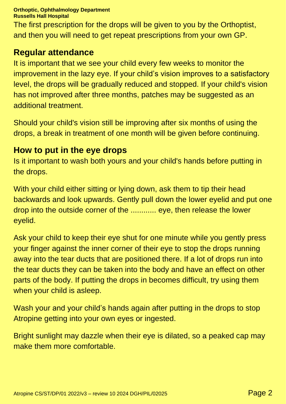**Orthoptic, Ophthalmology Department Russells Hall Hospital**

The first prescription for the drops will be given to you by the Orthoptist, and then you will need to get repeat prescriptions from your own GP.

#### **Regular attendance**

It is important that we see your child every few weeks to monitor the improvement in the lazy eye. If your child's vision improves to a satisfactory level, the drops will be gradually reduced and stopped. If your child's vision has not improved after three months, patches may be suggested as an additional treatment.

Should your child's vision still be improving after six months of using the drops, a break in treatment of one month will be given before continuing.

#### **How to put in the eye drops**

Is it important to wash both yours and your child's hands before putting in the drops.

With your child either sitting or lying down, ask them to tip their head backwards and look upwards. Gently pull down the lower eyelid and put one drop into the outside corner of the ............ eye, then release the lower eyelid.

Ask your child to keep their eye shut for one minute while you gently press your finger against the inner corner of their eye to stop the drops running away into the tear ducts that are positioned there. If a lot of drops run into the tear ducts they can be taken into the body and have an effect on other parts of the body. If putting the drops in becomes difficult, try using them when your child is asleep.

Wash your and your child's hands again after putting in the drops to stop Atropine getting into your own eyes or ingested.

Bright sunlight may dazzle when their eye is dilated, so a peaked cap may make them more comfortable.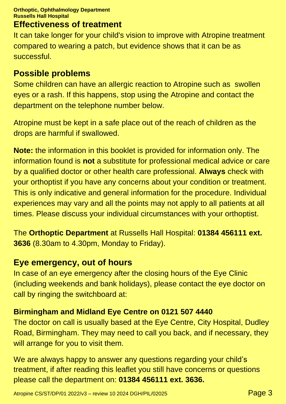#### **Effectiveness of treatment**

It can take longer for your child's vision to improve with Atropine treatment compared to wearing a patch, but evidence shows that it can be as successful.

## **Possible problems**

Some children can have an allergic reaction to Atropine such as swollen eyes or a rash. If this happens, stop using the Atropine and contact the department on the telephone number below.

Atropine must be kept in a safe place out of the reach of children as the drops are harmful if swallowed.

**Note:** the information in this booklet is provided for information only. The information found is **not** a substitute for professional medical advice or care by a qualified doctor or other health care professional. **Always** check with your orthoptist if you have any concerns about your condition or treatment. This is only indicative and general information for the procedure. Individual experiences may vary and all the points may not apply to all patients at all times. Please discuss your individual circumstances with your orthoptist.

The **Orthoptic Department** at Russells Hall Hospital: **01384 456111 ext. 3636** (8.30am to 4.30pm, Monday to Friday).

# **Eye emergency, out of hours**

In case of an eye emergency after the closing hours of the Eye Clinic (including weekends and bank holidays), please contact the eye doctor on call by ringing the switchboard at:

### **Birmingham and Midland Eye Centre on 0121 507 4440**

The doctor on call is usually based at the Eye Centre, City Hospital, Dudley Road, Birmingham. They may need to call you back, and if necessary, they will arrange for you to visit them.

We are always happy to answer any questions regarding your child's treatment, if after reading this leaflet you still have concerns or questions please call the department on: **01384 456111 ext. 3636.**